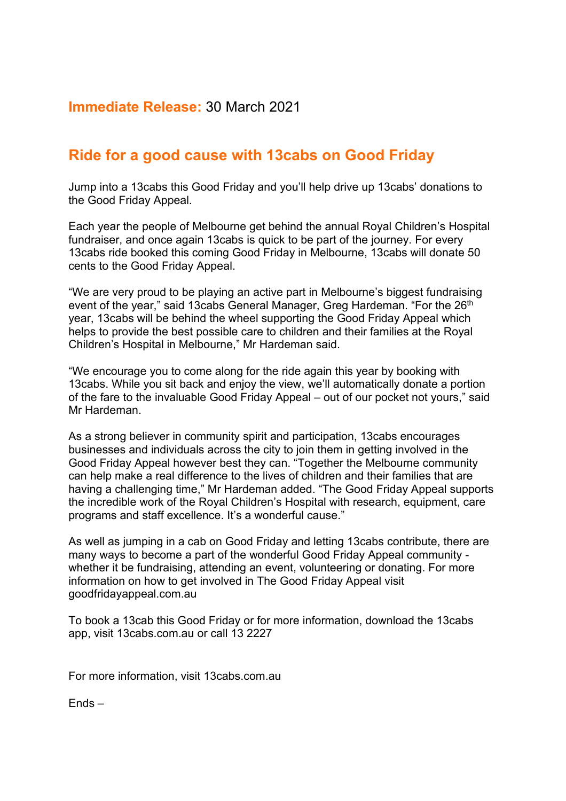## **Immediate Release:** 30 March 2021

## **Ride for a good cause with 13cabs on Good Friday**

Jump into a 13cabs this Good Friday and you'll help drive up 13cabs' donations to the Good Friday Appeal.

Each year the people of Melbourne get behind the annual Royal Children's Hospital fundraiser, and once again 13cabs is quick to be part of the journey. For every 13cabs ride booked this coming Good Friday in Melbourne, 13cabs will donate 50 cents to the Good Friday Appeal.

"We are very proud to be playing an active part in Melbourne's biggest fundraising event of the year," said 13cabs General Manager, Greg Hardeman. "For the 26<sup>th</sup> year, 13cabs will be behind the wheel supporting the Good Friday Appeal which helps to provide the best possible care to children and their families at the Royal Children's Hospital in Melbourne," Mr Hardeman said.

"We encourage you to come along for the ride again this year by booking with 13cabs. While you sit back and enjoy the view, we'll automatically donate a portion of the fare to the invaluable Good Friday Appeal – out of our pocket not yours," said Mr Hardeman.

As a strong believer in community spirit and participation, 13cabs encourages businesses and individuals across the city to join them in getting involved in the Good Friday Appeal however best they can. "Together the Melbourne community can help make a real difference to the lives of children and their families that are having a challenging time," Mr Hardeman added. "The Good Friday Appeal supports the incredible work of the Royal Children's Hospital with research, equipment, care programs and staff excellence. It's a wonderful cause."

As well as jumping in a cab on Good Friday and letting 13cabs contribute, there are many ways to become a part of the wonderful Good Friday Appeal community whether it be fundraising, attending an event, volunteering or donating. For more information on how to get involved in The Good Friday Appeal visit goodfridayappeal.com.au

To book a 13cab this Good Friday or for more information, download the 13cabs app, visit 13cabs.com.au or call 13 2227

For more information, visit 13cabs.com.au

Ends –